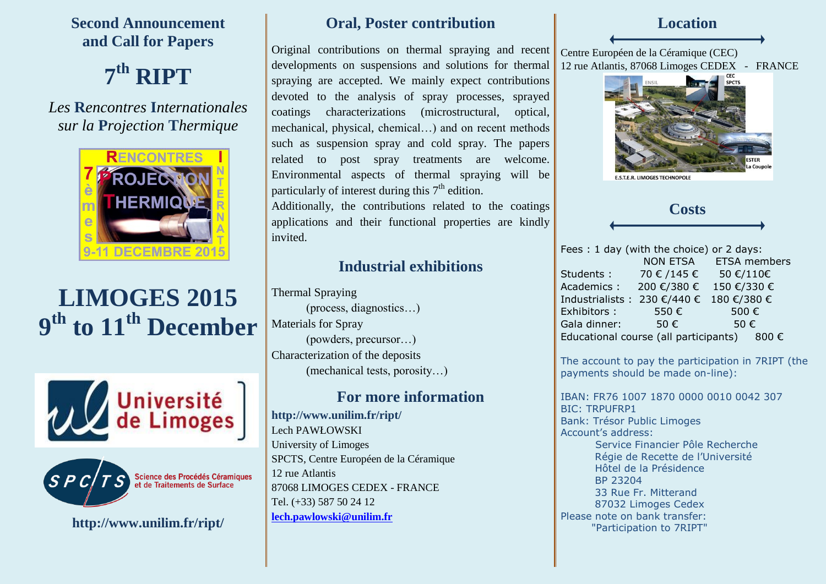**Second Announcement and Call for Papers**

**7 th RIPT**

*Les* **R***encontres* **I***nternationales sur la* **P***rojection* **T***hermique*



# **LIMOGES 2015 9 th to 11th December**





Science des Procédés Céramiques<br>et de Traitements de Surface

**http://www.unilim.fr/ript/**

### **Oral, Poster contribution**

Original contributions on thermal spraying and recent developments on suspensions and solutions for thermal spraying are accepted. We mainly expect contributions devoted to the analysis of spray processes, sprayed coatings characterizations (microstructural, optical, mechanical, physical, chemical…) and on recent methods such as suspension spray and cold spray. The papers related to post spray treatments are welcome. Environmental aspects of thermal spraying will be particularly of interest during this  $7<sup>th</sup>$  edition.

Additionally, the contributions related to the coatings applications and their functional properties are kindly invited.

### **Industrial exhibitions**

Thermal Spraying (process, diagnostics…) Materials for Spray (powders, precursor…) Characterization of the deposits (mechanical tests, porosity…)

## **For more information**

**http://www.unilim.fr/ript/** Lech PAWŁOWSKI University of Limoges SPCTS, Centre Européen de la Céramique 12 rue Atlantis 87068 LIMOGES CEDEX - FRANCE Tel. (+33) 587 50 24 12 **[lech.pawlowski@unilim.fr](mailto:lech.pawlowski@unilim.fr)**

**Location**

Centre Européen de la Céramique (CEC) 12 rue Atlantis, 87068 Limoges CEDEX - FRANCE



**E.S.T.E.R. LIMOGES TECHNOPOLE** 



Fees : 1 day (with the choice) or 2 days: NON ETSA ETSA members Students : 70 € /145 € 50 €/110€ Academics : 200 €/380 € 150 €/330 € Industrialists : 230 €/440 € 180 €/380 € Exhibitors :  $550 \text{ } \infty$  500 € Gala dinner:  $50 \in$  50  $\in$ Educational course (all participants)  $800 \in$ 

The account to pay the participation in 7RIPT (the payments should be made on-line):

IBAN: FR76 1007 1870 0000 0010 0042 307 BIC: TRPUFRP1 Bank: Trésor Public Limoges Account's address: Service Financier Pôle Recherche Régie de Recette de l'Université Hôtel de la Présidence BP 23204 33 Rue Fr. Mitterand 87032 Limoges Cedex Please note on bank transfer: "Participation to 7RIPT"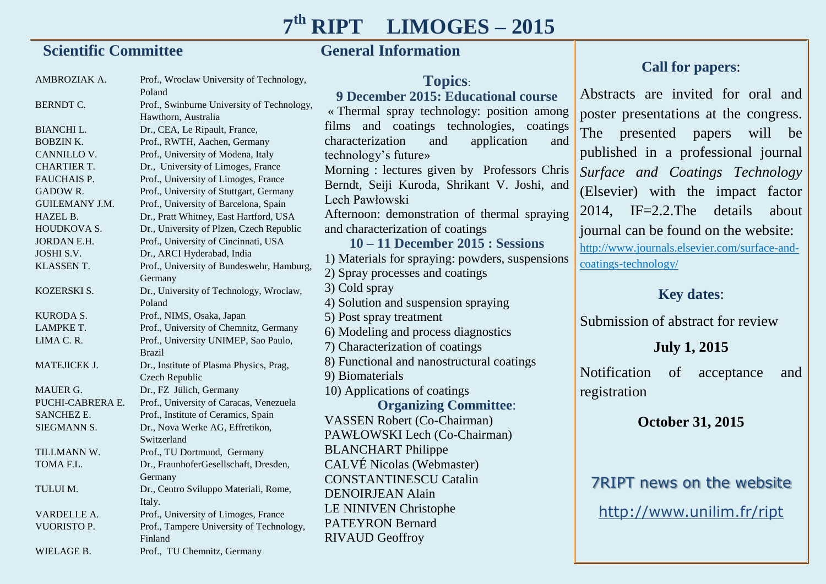# **7 th RIPT LIMOGES – 2015**

### **Scientific Committee Committee Committee Committee Committee Committee Committee Committee Committee Committee**

AMBROZIAK A. BERNDT C. BIANCHI L. BOBZIN K. CANNILLO V. CHARTIER T. FAUCHAIS P. GADOW R. GUILEMANY J.M. HAZEL B. HOUDKOVA S. JORDAN E.H. JOSHI S.V. KLASSEN T. KOZERSKI S. KURODA S. LAMPKE T. LIMA C. R. MATEJICEK **J** MAUER G. PUCHI-CABRERA E. SANCHEZ E. SIEGMANN S. TILLMANN W. TOMA<sub>FL</sub> TULUI M. VARDELLE A. VUORISTO P. WIELAGE B. Prof., Wroclaw University of Technology, Poland Prof., Swinburne University of Technology, Hawthorn, Australia Dr., CEA, Le Ripault, France, Prof., RWTH, Aachen, Germany Prof., University of Modena, Italy Dr., University of Limoges, France Prof., University of Limoges, France Prof., University of Stuttgart, Germany Prof., University of Barcelona, Spain Dr., Pratt Whitney, East Hartford, USA Dr., University of Plzen, Czech Republic Prof., University of Cincinnati, USA Dr., ARCI Hyderabad, India Prof., University of Bundeswehr, Hamburg, Germany Dr., University of Technology, Wroclaw, Poland Prof., NIMS, Osaka, Japan Prof., University of Chemnitz, Germany Prof., University UNIMEP, Sao Paulo, Brazil Dr., Institute of Plasma Physics, Prag, Czech Republic Dr., FZ Jülich, Germany Prof., University of Caracas, Venezuela Prof., Institute of Ceramics, Spain Dr., Nova Werke AG, Effretikon, Switzerland Prof., TU Dortmund, Germany Dr., FraunhoferGesellschaft, Dresden, Germany Dr., Centro Sviluppo Materiali, Rome, Italy. Prof., University of Limoges, France Prof., Tampere University of Technology, Finland Prof., TU Chemnitz, Germany DENOIR IEAN Alain LE NINIVEN Christophe PATEYRON Bernard RIVAUD Geoffroy

**Call for papers**: Abstracts are invited for oral and poster presentations at the congress. The presented papers will be published in a professional journal *Surface and Coatings Technology* (Elsevier) with the impact factor 2014, IF=2.2.The details about journal can be found on the website: http://www.journals.elsevier.com/surface-andcoatings-technology/ **Key dates**: Submission of abstract for review **July 1, 2015** Notification of acceptance and registration **October 31, 2015 Topics**: **9 December 2015: Educational course** « Thermal spray technology: position among films and coatings technologies, coatings characterization and application and technology's future» Morning : lectures given by Professors Chris Berndt, Seiji Kuroda, Shrikant V. Joshi, and Lech Pawłowski Afternoon: demonstration of thermal spraying and characterization of coatings **10 – 11 December 2015 : Sessions** 1) Materials for spraying: powders, suspensions 2) Spray processes and coatings 3) Cold spray 4) Solution and suspension spraying 5) Post spray treatment 6) Modeling and process diagnostics 7) Characterization of coatings 8) Functional and nanostructural coatings 9) Biomaterials 10) Applications of coatings **Organizing Committee**: VASSEN Robert (Co-Chairman) PAWŁOWSKI Lech (Co-Chairman) BLANCHART Philippe CALVÉ Nicolas (Webmaster) CONSTANTINESCU Catalin

7RIPT news on the website

http://www.unilim.fr/ript